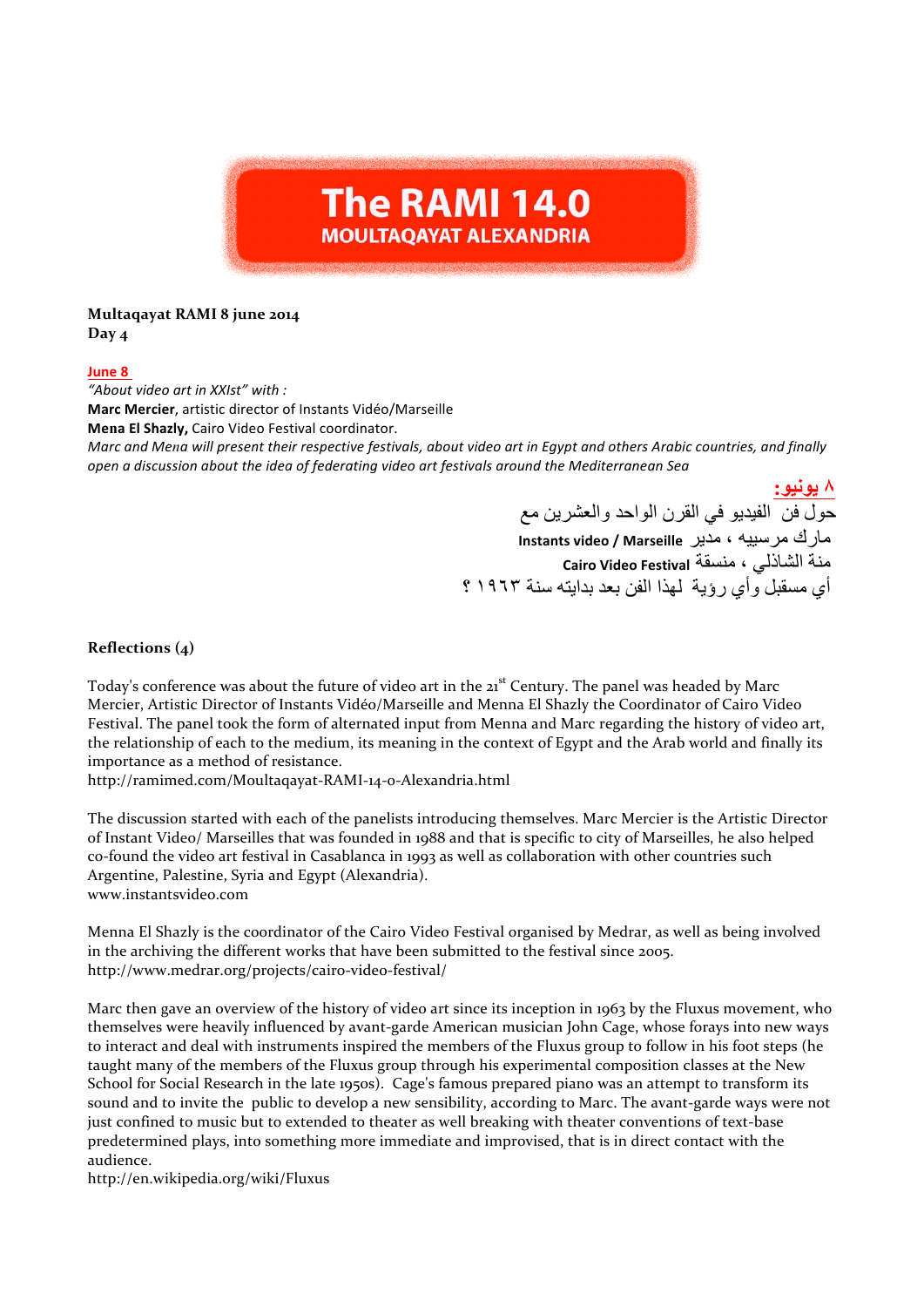# **The RAMI 14.0 MOULTAQAYAT ALEXANDRIA**

## **Multaqayat RAMI 8 june 2014 Day 4**

## **June 8**

*"About video art in XXIst" with :* **Marc Mercier**, artistic director of Instants Vidéo/Marseille **Mena El Shazly,** Cairo Video Festival coordinator. *Marc and Mena will present their respective festivals, about video art in Egypt and others Arabic countries, and finally open a discussion about the idea of federating video art festivals around the Mediterranean Sea* 

> **٨ یونیو:** حول فن الفیدیو في القرن الواحد والعشرین مع مارك مرسییھ ، مدیر **Marseille / video Instants** منة الشاذلي ، منسقة **Festival Video Cairo** أي مسقبل وأي رؤیة لھذا الفن بعد بدایتھ سنة ١٩٦٣ ؟

## **Reflections** (4)

Today's conference was about the future of video art in the 21<sup>st</sup> Century. The panel was headed by Marc Mercier, Artistic Director of Instants Vidéo/Marseille and Menna El Shazly the Coordinator of Cairo Video Festival. The panel took the form of alternated input from Menna and Marc regarding the history of video art, the relationship of each to the medium, its meaning in the context of Egypt and the Arab world and finally its importance as a method of resistance.

http://ramimed.com/Moultaqayat-RAMI-14-0-Alexandria.html

The discussion started with each of the panelists introducing themselves. Marc Mercier is the Artistic Director of Instant Video/ Marseilles that was founded in 1988 and that is specific to city of Marseilles, he also helped co-found the video art festival in Casablanca in 1993 as well as collaboration with other countries such Argentine, Palestine, Syria and Egypt (Alexandria). www.instantsvideo.com

Menna El Shazly is the coordinator of the Cairo Video Festival organised by Medrar, as well as being involved in the archiving the different works that have been submitted to the festival since 2005. http://www.medrar.org/projects/cairo-video-festival/

Marc then gave an overview of the history of video art since its inception in 1963 by the Fluxus movement, who themselves were heavily influenced by avant-garde American musician John Cage, whose forays into new ways to interact and deal with instruments inspired the members of the Fluxus group to follow in his foot steps (he taught many of the members of the Fluxus group through his experimental composition classes at the New School for Social Research in the late 1950s). Cage's famous prepared piano was an attempt to transform its sound and to invite the public to develop a new sensibility, according to Marc. The avant-garde ways were not just confined to music but to extended to theater as well breaking with theater conventions of text-base predetermined plays, into something more immediate and improvised, that is in direct contact with the audience. 

http://en.wikipedia.org/wiki/Fluxus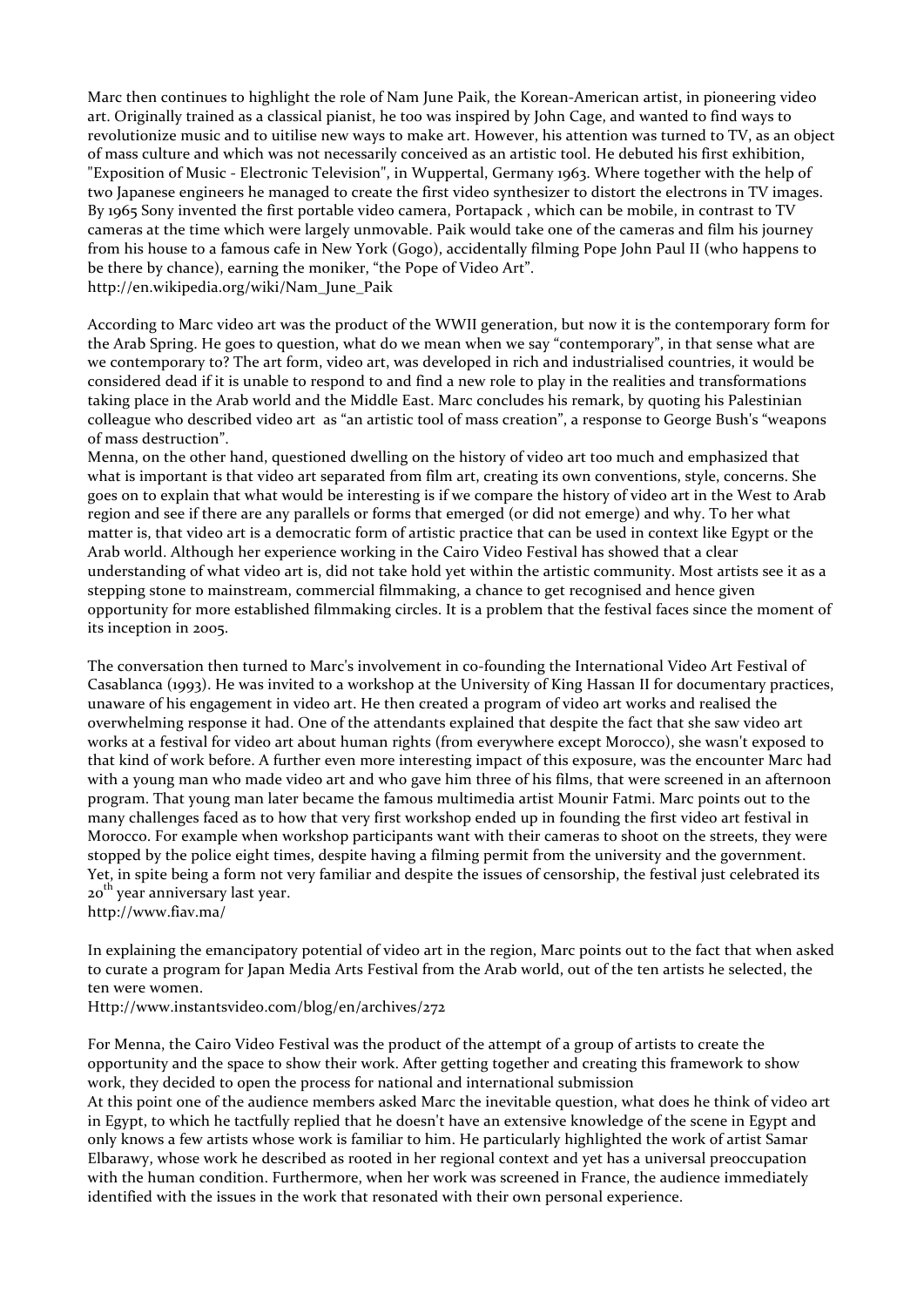Marc then continues to highlight the role of Nam June Paik, the Korean-American artist, in pioneering video art. Originally trained as a classical pianist, he too was inspired by John Cage, and wanted to find ways to revolutionize music and to uitilise new ways to make art. However, his attention was turned to TV, as an object of mass culture and which was not necessarily conceived as an artistic tool. He debuted his first exhibition, "Exposition of Music - Electronic Television", in Wuppertal, Germany 1963. Where together with the help of two Japanese engineers he managed to create the first video synthesizer to distort the electrons in TV images. By 1965 Sony invented the first portable video camera, Portapack, which can be mobile, in contrast to TV cameras at the time which were largely unmovable. Paik would take one of the cameras and film his journey from his house to a famous cafe in New York (Gogo), accidentally filming Pope John Paul II (who happens to be there by chance), earning the moniker, "the Pope of Video Art". http://en.wikipedia.org/wiki/Nam\_June\_Paik

According to Marc video art was the product of the WWII generation, but now it is the contemporary form for the Arab Spring. He goes to question, what do we mean when we say "contemporary", in that sense what are we contemporary to? The art form, video art, was developed in rich and industrialised countries, it would be considered dead if it is unable to respond to and find a new role to play in the realities and transformations taking place in the Arab world and the Middle East. Marc concludes his remark, by quoting his Palestinian colleague who described video art as "an artistic tool of mass creation", a response to George Bush's "weapons of mass destruction".

Menna, on the other hand, questioned dwelling on the history of video art too much and emphasized that what is important is that video art separated from film art, creating its own conventions, style, concerns. She goes on to explain that what would be interesting is if we compare the history of video art in the West to Arab region and see if there are any parallels or forms that emerged (or did not emerge) and why. To her what matter is, that video art is a democratic form of artistic practice that can be used in context like Egypt or the Arab world. Although her experience working in the Cairo Video Festival has showed that a clear understanding of what video art is, did not take hold yet within the artistic community. Most artists see it as a stepping stone to mainstream, commercial filmmaking, a chance to get recognised and hence given opportunity for more established filmmaking circles. It is a problem that the festival faces since the moment of its inception in 2005.

The conversation then turned to Marc's involvement in co-founding the International Video Art Festival of Casablanca (1993). He was invited to a workshop at the University of King Hassan II for documentary practices, unaware of his engagement in video art. He then created a program of video art works and realised the overwhelming response it had. One of the attendants explained that despite the fact that she saw video art works at a festival for video art about human rights (from everywhere except Morocco), she wasn't exposed to that kind of work before. A further even more interesting impact of this exposure, was the encounter Marc had with a young man who made video art and who gave him three of his films, that were screened in an afternoon program. That young man later became the famous multimedia artist Mounir Fatmi. Marc points out to the many challenges faced as to how that very first workshop ended up in founding the first video art festival in Morocco. For example when workshop participants want with their cameras to shoot on the streets, they were stopped by the police eight times, despite having a filming permit from the university and the government. Yet, in spite being a form not very familiar and despite the issues of censorship, the festival just celebrated its 20<sup>th</sup> year anniversary last year. http://www.fiav.ma/

In explaining the emancipatory potential of video art in the region, Marc points out to the fact that when asked to curate a program for Japan Media Arts Festival from the Arab world, out of the ten artists he selected, the ten were women.

Http://www.instantsvideo.com/blog/en/archives/272

For Menna, the Cairo Video Festival was the product of the attempt of a group of artists to create the opportunity and the space to show their work. After getting together and creating this framework to show work, they decided to open the process for national and international submission

At this point one of the audience members asked Marc the inevitable question, what does he think of video art in Egypt, to which he tactfully replied that he doesn't have an extensive knowledge of the scene in Egypt and only knows a few artists whose work is familiar to him. He particularly highlighted the work of artist Samar Elbarawy, whose work he described as rooted in her regional context and yet has a universal preoccupation with the human condition. Furthermore, when her work was screened in France, the audience immediately identified with the issues in the work that resonated with their own personal experience.